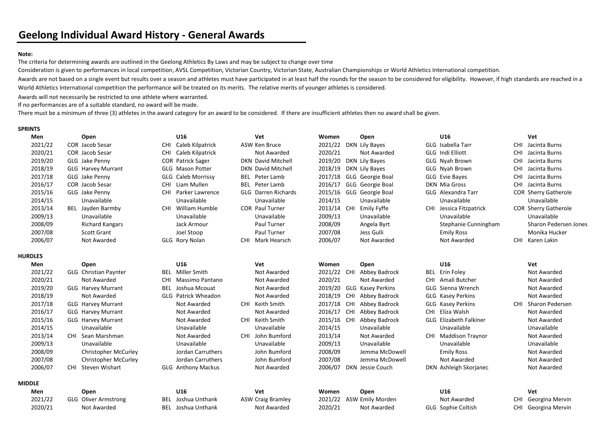## Note:

The criteria for determining awards are outlined in the Geelong Athletics By Laws and may be subject to change over time

Consideration is given to performances in local competition, AVSL Competition, Victorian Country, Victorian State, Australian Championships or World Athletics International competition.

Awards are not based on a single event but results over a season and athletes must have participated in at least half the rounds for the season to be considered for eligibility. However, if high standards are reached in a World Athletics International competition the performance will be treated on its merits. The relative merits of younger athletes is considered.

Awards will not necessarily be restricted to one athlete where warranted.

If no performances are of a suitable standard, no award will be made.

There must be a minimum of three (3) athletes in the award category for an award to be considered. If there are insufficient athletes then no award shall be given.

## SPRINTS

| Men            | Open                         |            | U16                        | Vet                        | Women       |            | Open                     | U16                           |            | Vet                         |
|----------------|------------------------------|------------|----------------------------|----------------------------|-------------|------------|--------------------------|-------------------------------|------------|-----------------------------|
| 2021/22        | <b>COR Jacob Sesar</b>       | <b>CHI</b> | Caleb Kilpatrick           | ASW Ken Bruce              | 2021/22     |            | DKN Lily Bayes           | GLG Isabella Tarr             | <b>CHI</b> | Jacinta Burns               |
| 2020/21        | <b>COR</b> Jacob Sesar       | <b>CHI</b> | Caleb Kilpatrick           | Not Awarded                | 2020/21     |            | Not Awarded              | GLG Indi Elliott              | <b>CHI</b> | Jacinta Burns               |
| 2019/20        | GLG Jake Penny               |            | <b>COR Patrick Sager</b>   | <b>DKN David Mitchell</b>  | 2019/20     |            | DKN Lily Bayes           | GLG Nyah Brown                | <b>CHI</b> | Jacinta Burns               |
| 2018/19        | <b>GLG Harvey Murrant</b>    |            | GLG Mason Potter           | DKN David Mitchell         | 2018/19     |            | DKN Lily Bayes           | GLG Nyah Brown                | <b>CHI</b> | Jacinta Burns               |
| 2017/18        | GLG Jake Penny               |            | <b>GLG Caleb Morrissy</b>  | <b>BEL</b> Peter Lamb      | 2017/18     |            | GLG Georgie Boal         | GLG Evie Bayes                | <b>CHI</b> | Jacinta Burns               |
| 2016/17        | <b>COR Jacob Sesar</b>       | <b>CHI</b> | Liam Mullen                | <b>BEL</b> Peter Lamb      | 2016/17     |            | <b>GLG</b> Georgie Boal  | <b>DKN Mia Gross</b>          | CHI        | Jacinta Burns               |
| 2015/16        | GLG Jake Penny               | CHI        | Parker Lawrence            | <b>GLG</b> Darren Richards | 2015/16     |            | GLG Georgie Boal         | GLG Alexandra Tarr            |            | <b>COR Sherry Gatherole</b> |
| 2014/15        | Unavailable                  |            | Unavailable                | Unavailable                | 2014/15     |            | Unavailable              | Unavailable                   |            | Unavailable                 |
| 2013/14        | BEL Jayden Barmby            | CHI        | William Humble             | <b>COR Paul Turner</b>     | 2013/14 CHI |            | <b>Emily Fyffe</b>       | CHI Jessica Fitzpatrick       |            | <b>COR Sherry Gatherole</b> |
| 2009/13        | Unavailable                  |            | Unavailable                | Unavailable                | 2009/13     |            | Unavailable              | Unavailable                   |            | Unavailable                 |
| 2008/09        | <b>Richard Kangars</b>       |            | Jack Armour                | Paul Turner                | 2008/09     |            | Angela Byrt              | Stephanie Cunningham          |            | Sharon Pedersen Jones       |
| 2007/08        | <b>Scott Grant</b>           |            | Joel Stoop                 | Paul Turner                | 2007/08     |            | Jess Gulli               | <b>Emily Ross</b>             |            | Monika Hucker               |
| 2006/07        | Not Awarded                  |            | GLG Rory Nolan             | CHI Mark Hearsch           | 2006/07     |            | Not Awarded              | Not Awarded                   | <b>CHI</b> | Karen Lakin                 |
| <b>HURDLES</b> |                              |            |                            |                            |             |            |                          |                               |            |                             |
| Men            | Open                         |            | U16                        | Vet                        | Women       |            | Open                     | U16                           |            | Vet                         |
| 2021/22        | <b>GLG</b> Christian Paynter |            | <b>BEL</b> Miller Smith    | Not Awarded                | 2021/22     | CHI        | Abbey Badrock            | <b>BEL</b> Erin Foley         |            | Not Awarded                 |
| 2020/21        | Not Awarded                  | CHI.       | <b>Massimo Pantano</b>     | <b>Not Awarded</b>         | 2020/21     |            | <b>Not Awarded</b>       | CHI Amali Butcher             |            | Not Awarded                 |
| 2019/20        | <b>GLG Harvey Murrant</b>    | <b>BEL</b> | Joshua Mcouat              | <b>Not Awarded</b>         | 2019/20     |            | <b>GLG Kasey Perkins</b> | GLG Sienna Wrench             |            | Not Awarded                 |
| 2018/19        | <b>Not Awarded</b>           |            | <b>GLG</b> Patrick Wheadon | <b>Not Awarded</b>         | 2018/19     | CHI        | Abbey Badrock            | GLG Kasey Perkins             |            | Not Awarded                 |
| 2017/18        | <b>GLG Harvey Murrant</b>    |            | Not Awarded                | CHI Keith Smith            | 2017/18     | CHI        | Abbey Badrock            | GLG Kasey Perkins             | <b>CHI</b> | Sharon Pedersen             |
| 2016/17        | <b>GLG Harvey Murrant</b>    |            | Not Awarded                | <b>Not Awarded</b>         | 2016/17     | <b>CHI</b> | Abbey Badrock            | CHI Eliza Walsh               |            | Not Awarded                 |
| 2015/16        | <b>GLG Harvey Murrant</b>    |            | Not Awarded                | CHI Keith Smith            | 2015/16     | CHI        | Abbey Badrock            | <b>GLG</b> Elizabeth Falkiner |            | Not Awarded                 |
| 2014/15        | Unavailable                  |            | Unavailable                | Unavailable                | 2014/15     |            | Unavailable              | Unavailable                   |            | Unavailable                 |
| 2013/14        | CHI Sean Marshman            |            | Not Awarded                | CHI John Bumford           | 2013/14     |            | Not Awarded              | CHI Maddison Traynor          |            | Not Awarded                 |
| 2009/13        | Unavailable                  |            | Unavailable                | Unavailable                | 2009/13     |            | Unavailable              | Unavailable                   |            | Unavailable                 |
| 2008/09        | <b>Christopher McCurley</b>  |            | Jordan Carruthers          | John Bumford               | 2008/09     |            | Jemma McDowell           | <b>Emily Ross</b>             |            | Not Awarded                 |
| 2007/08        | <b>Christopher McCurley</b>  |            | Jordan Carruthers          | John Bumford               | 2007/08     |            | Jemma McDowell           | Not Awarded                   |            | Not Awarded                 |
| 2006/07        | CHI Steven Wishart           |            | <b>GLG</b> Anthony Mackus  | Not Awarded                |             |            | 2006/07 DKN Jessie Couch | DKN Ashleigh Skorjanec        |            | Not Awarded                 |
| <b>MIDDLE</b>  |                              |            |                            |                            |             |            |                          |                               |            |                             |
| Men            | Open                         |            | U16                        | Vet                        | Women       |            | Open                     | U16                           |            | Vet                         |
| 2021/22        | <b>GLG</b> Oliver Armstrong  |            | <b>BEL</b> Joshua Unthank  | <b>ASW Craig Bramley</b>   | 2021/22     |            | ASW Emily Morden         | Not Awarded                   | <b>CHI</b> | Georgina Mervin             |
| 2020/21        | Not Awarded                  |            | <b>BEL</b> Joshua Unthank  | Not Awarded                | 2020/21     |            | Not Awarded              | GLG Sophie Coltish            | <b>CHI</b> | Georgina Mervin             |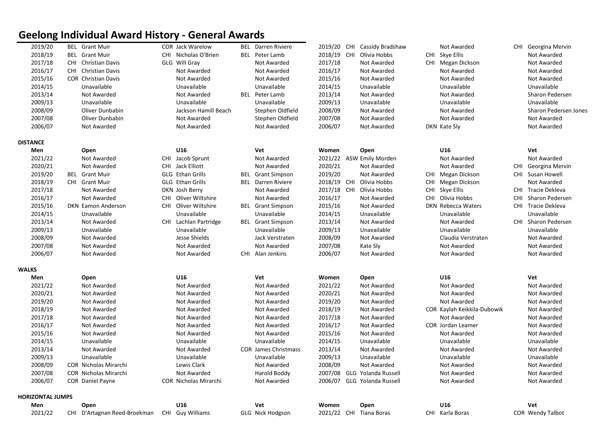## Geelong Individual Award History - General Awards

| 2019/20                 | <b>BEL</b> Grant Muir        |     | COR Jack Warelow      | <b>BEL</b> Darren Riviere   |         | 2019/20 CHI Cassidy Bradshaw | Not Awarded                 |            | CHI Georgina Mervin   |
|-------------------------|------------------------------|-----|-----------------------|-----------------------------|---------|------------------------------|-----------------------------|------------|-----------------------|
| 2018/19                 | <b>BEL</b> Grant Muir        |     | CHI Nicholas O'Brien  | <b>BEL</b> Peter Lamb       |         | 2018/19 CHI Olivia Hobbs     | CHI Skye Ellis              |            | Not Awarded           |
| 2017/18                 | CHI Christian Davis          |     | GLG Will Gray         | Not Awarded                 | 2017/18 | Not Awarded                  | CHI Megan Dickson           |            | Not Awarded           |
| 2016/17                 | CHI Christian Davis          |     | Not Awarded           | Not Awarded                 | 2016/17 | Not Awarded                  | Not Awarded                 |            | Not Awarded           |
| 2015/16                 | <b>COR Christian Davis</b>   |     | Not Awarded           | Not Awarded                 | 2015/16 | Not Awarded                  | Not Awarded                 |            | Not Awarded           |
| 2014/15                 | Unavailable                  |     | Unavailable           | Unavailable                 | 2014/15 | Unavailable                  | Unavailable                 |            | Unavailable           |
| 2013/14                 | Not Awarded                  |     | Not Awarded           | <b>BEL</b> Peter Lamb       | 2013/14 | Not Awarded                  | Not Awarded                 |            | Sharon Pedersen       |
| 2009/13                 | Unavailable                  |     | Unavailable           | Unavailable                 | 2009/13 | Unavailable                  | Unavailable                 |            | Unavailable           |
| 2008/09                 | Oliver Dunbabin              |     | Jackson Hamill Beach  | Stephen Oldfield            | 2008/09 | Not Awarded                  | Not Awarded                 |            | Sharon Pedersen Jones |
| 2007/08                 | Oliver Dunbabin              |     | Not Awarded           | Stephen Oldfield            | 2007/08 | Not Awarded                  | Not Awarded                 |            | Not Awarded           |
| 2006/07                 | Not Awarded                  |     | Not Awarded           | Not Awarded                 | 2006/07 | Not Awarded                  | DKN Kate Sly                |            | Not Awarded           |
| <b>DISTANCE</b>         |                              |     |                       |                             |         |                              |                             |            |                       |
| Men                     | Open                         |     | U16                   | Vet                         | Women   | Open                         | U16                         |            | Vet                   |
| 2021/22                 | Not Awarded                  |     | CHI Jacob Sprunt      | Not Awarded                 |         | 2021/22 ASW Emily Morden     | Not Awarded                 |            | Not Awarded           |
| 2020/21                 | Not Awarded                  |     | CHI Jack Elliott      | Not Awarded                 | 2020/21 | Not Awarded                  | Not Awarded                 |            | CHI Georgina Mervin   |
| 2019/20                 | <b>BEL</b> Grant Muir        |     | GLG Ethan Grills      | <b>BEL</b> Grant Simpson    | 2019/20 | Not Awarded                  | CHI Megan Dickson           |            | CHI Susan Howell      |
| 2018/19                 | CHI Grant Muir               |     | GLG Ethan Grills      | <b>BEL</b> Darren Riviere   |         | 2018/19 CHI Olivia Hobbs     | CHI Megan Dickson           |            | Not Awarded           |
| 2017/18                 | Not Awarded                  |     | DKN Josh Berry        | Not Awarded                 |         | 2017/18 CHI Olivia Hobbs     | CHI Skye Ellis              |            | CHI Tracie Dekleva    |
| 2016/17                 | Not Awarded                  | CHI | Oliver Wiltshire      | Not Awarded                 | 2016/17 | Not Awarded                  | CHI Olivia Hobbs            | <b>CHI</b> | Sharon Pedersen       |
| 2015/16                 | DKN Eamon Anderson           |     | CHI Oliver Wiltshire  | <b>BEL</b> Grant Simpson    | 2015/16 | Not Awarded                  | <b>DKN Rebecca Waters</b>   |            | CHI Tracie Dekleva    |
| 2014/15                 | Unavailable                  |     | Unavailable           | Unavailable                 | 2014/15 | Unavailable                  | Unavailable                 |            | Unavailable           |
| 2013/14                 | Not Awarded                  |     | CHI Lachlan Partridge | <b>BEL</b> Grant Simpson    | 2013/14 | Not Awarded                  | Not Awarded                 |            | CHI Sharon Pedersen   |
| 2009/13                 | Unavailable                  |     | Unavailable           | Unavailable                 | 2009/13 | Unavailable                  | Unavailable                 |            | Unavailable           |
| 2008/09                 | Not Awarded                  |     | Jesse Shields         | Jack Verstraten             | 2008/09 | Not Awarded                  | Claudia Verstraten          |            | Not Awarded           |
| 2007/08                 | Not Awarded                  |     | Not Awarded           | Not Awarded                 | 2007/08 | Kate Sly                     | Not Awarded                 |            | Not Awarded           |
| 2006/07                 | Not Awarded                  |     | Not Awarded           | CHI Alan Jenkins            | 2006/07 | Not Awarded                  | Not Awarded                 |            | Not Awarded           |
| <b>WALKS</b>            |                              |     |                       |                             |         |                              |                             |            |                       |
| Men                     | Open                         |     | U16                   | Vet                         | Women   | Open                         | U16                         |            | Vet                   |
| 2021/22                 | Not Awarded                  |     | Not Awarded           | Not Awarded                 | 2021/22 | Not Awarded                  | Not Awarded                 |            | Not Awarded           |
| 2020/21                 | Not Awarded                  |     | Not Awarded           | Not Awarded                 | 2020/21 | Not Awarded                  | Not Awarded                 |            | Not Awarded           |
| 2019/20                 | Not Awarded                  |     | Not Awarded           | Not Awarded                 | 2019/20 | Not Awarded                  | Not Awarded                 |            | Not Awarded           |
| 2018/19                 | Not Awarded                  |     | Not Awarded           | Not Awarded                 | 2018/19 | Not Awarded                  | COR Kaylah Keikkila-Dubowik |            | Not Awarded           |
| 2017/18                 | Not Awarded                  |     | Not Awarded           | Not Awarded                 | 2017/18 | Not Awarded                  | Not Awarded                 |            | Not Awarded           |
| 2016/17                 | Not Awarded                  |     | Not Awarded           | Not Awarded                 | 2016/17 | Not Awarded                  | <b>COR</b> Jordan Leamer    |            | Not Awarded           |
| 2015/16                 | Not Awarded                  |     | Not Awarded           | Not Awarded                 | 2015/16 | Not Awarded                  | Not Awarded                 |            | Not Awarded           |
| 2014/15                 | Unavailable                  |     | Unavailable           | Unavailable                 | 2014/15 | Unavailable                  | Unavailable                 |            | Unavailable           |
| 2013/14                 | Not Awarded                  |     | Not Awarded           | <b>COR James Christmass</b> | 2013/14 | Not Awarded                  | Not Awarded                 |            | Not Awarded           |
| 2009/13                 | Unavailable                  |     | Unavailable           | Unavailable                 | 2009/13 | Unavailable                  | Unavailable                 |            | Unavailable           |
| 2008/09                 | <b>COR Nicholas Mirarchi</b> |     | Lewis Clark           | Not Awarded                 | 2008/09 | Not Awarded                  | Not Awarded                 |            | Not Awarded           |
| 2007/08                 | <b>COR Nicholas Mirarchi</b> |     | Not Awarded           | Harold Boddy                |         | 2007/08 GLG Yolanda Russell  | Not Awarded                 |            | Not Awarded           |
| 2006/07                 | <b>COR</b> Daniel Payne      |     | COR Nicholas Mirarchi | Not Awarded                 |         | 2006/07 GLG Yolanda Russell  | Not Awarded                 |            | Not Awarded           |
| <b>HORIZONTAL JUMPS</b> |                              |     |                       |                             |         |                              |                             |            |                       |
| Men                     | Open                         |     | U16                   | Vet                         | Women   | Open                         | U16                         |            | Vet                   |
| 2021/22                 | CHI D'Artagnan Reed-Broekman |     | CHI Guy Williams      | GLG Nick Hodgson            |         | 2021/22 CHI Tiana Boras      | CHI Karla Boras             |            | COR Wendy Talbot      |